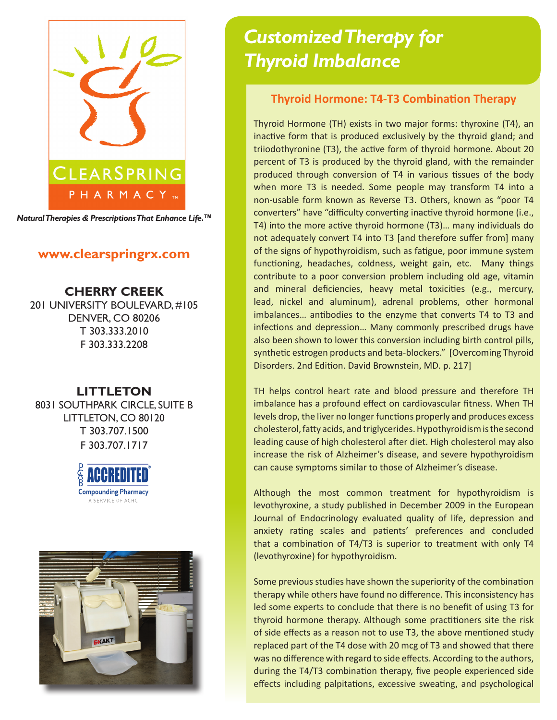

*Natural Therapies & Prescriptions That Enhance Life.***TM**

# **www.clearspringrx.com**

**CHERRY CREEK** 201 UNIVERSITY BOULEVARD, #105 DENVER, CO 80206 T 303.333.2010 F 303.333.2208

# **LITTLETON**

8031 SOUTHPARK CIRCLE, SUITE B LITTLETON, CO 80120 T 303.707.1500 F 303.707.1717





# *Customized Therapy for Thyroid Imbalance*

### **Thyroid Hormone: T4-T3 Combination Therapy**

Thyroid Hormone (TH) exists in two major forms: thyroxine (T4), an inactive form that is produced exclusively by the thyroid gland; and triiodothyronine (T3), the active form of thyroid hormone. About 20 percent of T3 is produced by the thyroid gland, with the remainder produced through conversion of T4 in various tissues of the body when more T3 is needed. Some people may transform T4 into a non-usable form known as Reverse T3. Others, known as "poor T4 converters" have "difficulty converting inactive thyroid hormone (i.e., T4) into the more active thyroid hormone (T3)… many individuals do not adequately convert T4 into T3 [and therefore suffer from] many of the signs of hypothyroidism, such as fatigue, poor immune system functioning, headaches, coldness, weight gain, etc. Many things contribute to a poor conversion problem including old age, vitamin and mineral deficiencies, heavy metal toxicities (e.g., mercury, lead, nickel and aluminum), adrenal problems, other hormonal imbalances… antibodies to the enzyme that converts T4 to T3 and infections and depression… Many commonly prescribed drugs have also been shown to lower this conversion including birth control pills, synthetic estrogen products and beta-blockers." [Overcoming Thyroid Disorders. 2nd Edition. David Brownstein, MD. p. 217]

TH helps control heart rate and blood pressure and therefore TH imbalance has a profound effect on cardiovascular fitness. When TH levels drop, the liver no longer functions properly and produces excess cholesterol, fatty acids, and triglycerides. Hypothyroidism is the second leading cause of high cholesterol after diet. High cholesterol may also increase the risk of Alzheimer's disease, and severe hypothyroidism can cause symptoms similar to those of Alzheimer's disease.

Although the most common treatment for hypothyroidism is levothyroxine, a study published in December 2009 in the European Journal of Endocrinology evaluated quality of life, depression and anxiety rating scales and patients' preferences and concluded that a combination of T4/T3 is superior to treatment with only T4 (levothyroxine) for hypothyroidism.

Some previous studies have shown the superiority of the combination therapy while others have found no difference. This inconsistency has led some experts to conclude that there is no benefit of using T3 for thyroid hormone therapy. Although some practitioners site the risk of side effects as a reason not to use T3, the above mentioned study replaced part of the T4 dose with 20 mcg of T3 and showed that there was no difference with regard to side effects. According to the authors, during the T4/T3 combination therapy, five people experienced side effects including palpitations, excessive sweating, and psychological